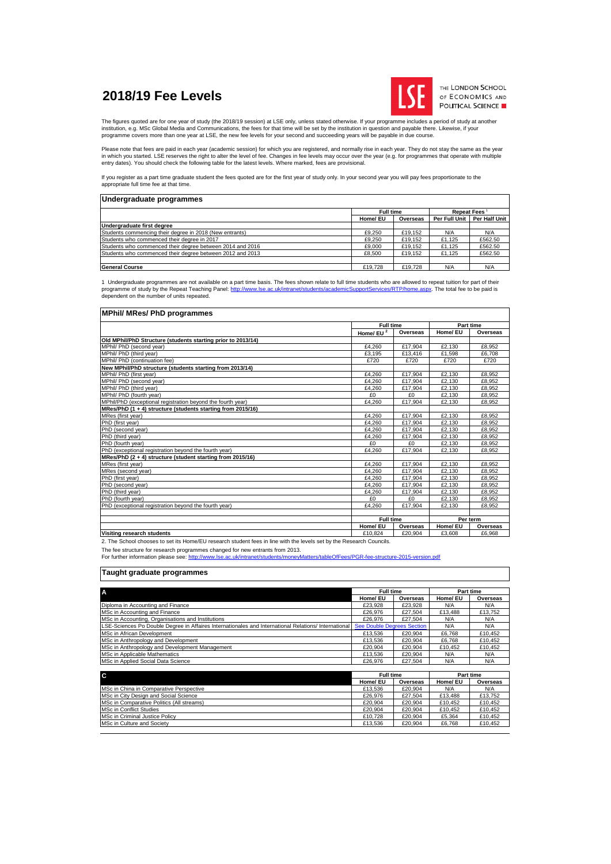# **2018/19 Fee Levels**



THE LONDON SCHOOL OF ECONOMICS AND POLITICAL SCIENCE

The figures quoted are for one year of study (the 2018/19 session) at LSE only, unless stated otherwise. If your programme includes a period of study at another institution, e.g. MSc Global Media and Communications, the fees for that time will be set by the institution in question and payable there. Likewise, if your<br>programme covers more than one year at LSE, the new fee levels f

Please note that fees are paid in each year (academic session) for which you are registered, and normally rise in each year. They do not stay the same as the year<br>in which you started. LSE reserves the right to alter the l

If you register as a part time graduate student the fees quoted are for the first year of study only. In your second year you will pay fees proportionate to the appropriate full time fee at that time.

| Undergraduate programmes                                  |                  |          |               |                          |
|-----------------------------------------------------------|------------------|----------|---------------|--------------------------|
|                                                           | <b>Full time</b> |          |               | Repeat Fees <sup>1</sup> |
|                                                           | Home/ EU         | Overseas | Per Full Unit | Per Half Unit            |
| Undergraduate first degree                                |                  |          |               |                          |
| Students commencing their degree in 2018 (New entrants)   | £9,250           | £19.152  | N/A           | N/A                      |
| Students who commenced their degree in 2017               | £9.250           | £19.152  | £1.125        | £562.50                  |
| Students who commenced their degree between 2014 and 2016 | £9,000           | £19.152  | £1.125        | £562.50                  |
| Students who commenced their degree between 2012 and 2013 | £8.500           | £19.152  | £1.125        | £562.50                  |
|                                                           |                  |          |               |                          |
| <b>General Course</b>                                     | £19.728          | £19,728  | N/A           | N/A                      |

1 Undergraduate programmes are not available on a part time basis. The fees shown relate to full time students who are allowed to repeat tuition for part of their<br>programme of study by the Repeat Teaching Panel: http://ww

#### **MPhil/ MRes/ PhD programmes**

|                                                              | <b>Full time</b> |          | Part time |          |
|--------------------------------------------------------------|------------------|----------|-----------|----------|
|                                                              | Home/EU $^2$     | Overseas | Home/ EU  | Overseas |
| Old MPhil/PhD Structure (students starting prior to 2013/14) |                  |          |           |          |
| MPhil/ PhD (second year)                                     | £4.260           | £17.904  | £2.130    | £8,952   |
| MPhil/ PhD (third year)                                      | £3.195           | £13,416  | £1,598    | £6.708   |
| MPhil/ PhD (continuation fee)                                | £720             | £720     | £720      | £720     |
| New MPhil/PhD structure (students starting from 2013/14)     |                  |          |           |          |
| MPhil/ PhD (first year)                                      | £4.260           | £17.904  | £2.130    | £8.952   |
| MPhil/ PhD (second year)                                     | £4.260           | £17.904  | £2.130    | £8.952   |
| MPhil/ PhD (third year)                                      | £4.260           | £17.904  | £2,130    | £8.952   |
| MPhil/ PhD (fourth year)                                     | £0               | £0       | £2.130    | £8.952   |
| MPhil/PhD (exceptional registration beyond the fourth year)  | £4.260           | £17.904  | £2.130    | £8.952   |
| MRes/PhD (1 + 4) structure (students starting from 2015/16)  |                  |          |           |          |
| MRes (first year)                                            | £4.260           | £17.904  | £2.130    | £8.952   |
| PhD (first year)                                             | £4.260           | £17.904  | £2.130    | £8.952   |
| PhD (second year)                                            | £4.260           | £17.904  | £2.130    | £8.952   |
| PhD (third year)                                             | £4.260           | £17.904  | £2.130    | £8.952   |
| PhD (fourth year)                                            | £0               | £0       | £2.130    | £8.952   |
| PhD (exceptional registration beyond the fourth year)        | £4,260           | £17,904  | £2,130    | £8,952   |
| MRes/PhD (2 + 4) structure (student starting from 2015/16)   |                  |          |           |          |
| MRes (first year)                                            | £4.260           | £17.904  | £2.130    | £8.952   |
| MRes (second year)                                           | £4.260           | £17.904  | £2.130    | £8.952   |
| PhD (first year)                                             | £4.260           | £17.904  | £2.130    | £8.952   |
| PhD (second year)                                            | £4.260           | £17.904  | £2.130    | £8.952   |
| PhD (third year)                                             | £4,260           | £17,904  | £2.130    | £8.952   |
| PhD (fourth year)                                            | £0               | £0       | £2.130    | £8.952   |
| PhD (exceptional registration beyond the fourth year)        | £4,260           | £17,904  | £2,130    | £8,952   |
|                                                              |                  |          |           |          |
|                                                              | <b>Full time</b> |          | Per term  |          |
|                                                              | Home/ EU         | Overseas | Home/ EU  | Overseas |
| Visiting research students                                   | £10.824          | £20.904  | £3.608    | £6.968   |

2. The School chooses to set its Home/EU research student fees in line with the levels set by the Research Councils.

The fee structure for research programmes changed for new entrants from 2013.<br>For further information please see: <u>http://www.lse.ac.uk/intranet/students/moneyMatters/tableOfFees/PGR-fee-structure-2015-version.pdf</u>

## **Taught graduate programmes**

| <b>Full time</b><br>Part time<br>Home/ EU<br>Home/ EU<br>Overseas<br>Overseas<br>Diploma in Accounting and Finance<br>N/A<br>N/A<br>£23,928<br>£23,928<br>MSc in Accounting and Finance<br>£13,488<br>£27.504<br>£13.752<br>£26.976<br>MSc in Accounting, Organisations and Institutions<br>N/A<br>N/A<br>£26.976<br>£27.504<br>LSE-Sciences Po Double Degree in Affaires Internationales and International Relations/ International<br><b>See Double Degrees Section</b><br>N/A<br>N/A<br>MSc in African Development<br>£13.536<br>£20.904<br>£6.768<br>£10.452<br>MSc in Anthropology and Development<br>£20.904<br>£6.768<br>£10,452<br>£13,536<br>£20,904<br>£20,904<br>MSc in Anthropology and Development Management<br>£10.452<br>£10.452<br>£20,904<br>£13.536<br>MSc in Applicable Mathematics<br>N/A<br>N/A<br>£27.504<br>£26.976<br>N/A<br>N/A<br><b>Full time</b><br>C<br>Part time<br>Home/ EU<br>Home/ EU<br>Overseas<br>Overseas<br>MSc in China in Comparative Perspective<br>N/A<br>N/A<br>£20,904<br>£13,536<br>MSc in City Design and Social Science<br>£27.504<br>£13,488<br>£13.752<br>£26.976<br>MSc in Comparative Politics (All streams)<br>£20.904<br>£20.904<br>£10.452<br>£10.452<br><b>MSc in Conflict Studies</b><br>£20.904<br>£20,904<br>£10,452<br>£10,452<br>MSc in Criminal Justice Policy<br>£20,904<br>£10,728<br>£5,364<br>£10,452<br>MSc in Culture and Society<br>£20.904<br>£13.536<br>£6.768<br>£10.452 |                                    |  |  |  |  |
|--------------------------------------------------------------------------------------------------------------------------------------------------------------------------------------------------------------------------------------------------------------------------------------------------------------------------------------------------------------------------------------------------------------------------------------------------------------------------------------------------------------------------------------------------------------------------------------------------------------------------------------------------------------------------------------------------------------------------------------------------------------------------------------------------------------------------------------------------------------------------------------------------------------------------------------------------------------------------------------------------------------------------------------------------------------------------------------------------------------------------------------------------------------------------------------------------------------------------------------------------------------------------------------------------------------------------------------------------------------------------------------------------------------------------------------------------|------------------------------------|--|--|--|--|
|                                                                                                                                                                                                                                                                                                                                                                                                                                                                                                                                                                                                                                                                                                                                                                                                                                                                                                                                                                                                                                                                                                                                                                                                                                                                                                                                                                                                                                                  |                                    |  |  |  |  |
|                                                                                                                                                                                                                                                                                                                                                                                                                                                                                                                                                                                                                                                                                                                                                                                                                                                                                                                                                                                                                                                                                                                                                                                                                                                                                                                                                                                                                                                  | A                                  |  |  |  |  |
|                                                                                                                                                                                                                                                                                                                                                                                                                                                                                                                                                                                                                                                                                                                                                                                                                                                                                                                                                                                                                                                                                                                                                                                                                                                                                                                                                                                                                                                  |                                    |  |  |  |  |
|                                                                                                                                                                                                                                                                                                                                                                                                                                                                                                                                                                                                                                                                                                                                                                                                                                                                                                                                                                                                                                                                                                                                                                                                                                                                                                                                                                                                                                                  |                                    |  |  |  |  |
|                                                                                                                                                                                                                                                                                                                                                                                                                                                                                                                                                                                                                                                                                                                                                                                                                                                                                                                                                                                                                                                                                                                                                                                                                                                                                                                                                                                                                                                  |                                    |  |  |  |  |
|                                                                                                                                                                                                                                                                                                                                                                                                                                                                                                                                                                                                                                                                                                                                                                                                                                                                                                                                                                                                                                                                                                                                                                                                                                                                                                                                                                                                                                                  |                                    |  |  |  |  |
|                                                                                                                                                                                                                                                                                                                                                                                                                                                                                                                                                                                                                                                                                                                                                                                                                                                                                                                                                                                                                                                                                                                                                                                                                                                                                                                                                                                                                                                  |                                    |  |  |  |  |
|                                                                                                                                                                                                                                                                                                                                                                                                                                                                                                                                                                                                                                                                                                                                                                                                                                                                                                                                                                                                                                                                                                                                                                                                                                                                                                                                                                                                                                                  |                                    |  |  |  |  |
|                                                                                                                                                                                                                                                                                                                                                                                                                                                                                                                                                                                                                                                                                                                                                                                                                                                                                                                                                                                                                                                                                                                                                                                                                                                                                                                                                                                                                                                  |                                    |  |  |  |  |
|                                                                                                                                                                                                                                                                                                                                                                                                                                                                                                                                                                                                                                                                                                                                                                                                                                                                                                                                                                                                                                                                                                                                                                                                                                                                                                                                                                                                                                                  |                                    |  |  |  |  |
|                                                                                                                                                                                                                                                                                                                                                                                                                                                                                                                                                                                                                                                                                                                                                                                                                                                                                                                                                                                                                                                                                                                                                                                                                                                                                                                                                                                                                                                  |                                    |  |  |  |  |
|                                                                                                                                                                                                                                                                                                                                                                                                                                                                                                                                                                                                                                                                                                                                                                                                                                                                                                                                                                                                                                                                                                                                                                                                                                                                                                                                                                                                                                                  | MSc in Applied Social Data Science |  |  |  |  |
|                                                                                                                                                                                                                                                                                                                                                                                                                                                                                                                                                                                                                                                                                                                                                                                                                                                                                                                                                                                                                                                                                                                                                                                                                                                                                                                                                                                                                                                  |                                    |  |  |  |  |
|                                                                                                                                                                                                                                                                                                                                                                                                                                                                                                                                                                                                                                                                                                                                                                                                                                                                                                                                                                                                                                                                                                                                                                                                                                                                                                                                                                                                                                                  |                                    |  |  |  |  |
|                                                                                                                                                                                                                                                                                                                                                                                                                                                                                                                                                                                                                                                                                                                                                                                                                                                                                                                                                                                                                                                                                                                                                                                                                                                                                                                                                                                                                                                  |                                    |  |  |  |  |
|                                                                                                                                                                                                                                                                                                                                                                                                                                                                                                                                                                                                                                                                                                                                                                                                                                                                                                                                                                                                                                                                                                                                                                                                                                                                                                                                                                                                                                                  |                                    |  |  |  |  |
|                                                                                                                                                                                                                                                                                                                                                                                                                                                                                                                                                                                                                                                                                                                                                                                                                                                                                                                                                                                                                                                                                                                                                                                                                                                                                                                                                                                                                                                  |                                    |  |  |  |  |
|                                                                                                                                                                                                                                                                                                                                                                                                                                                                                                                                                                                                                                                                                                                                                                                                                                                                                                                                                                                                                                                                                                                                                                                                                                                                                                                                                                                                                                                  |                                    |  |  |  |  |
|                                                                                                                                                                                                                                                                                                                                                                                                                                                                                                                                                                                                                                                                                                                                                                                                                                                                                                                                                                                                                                                                                                                                                                                                                                                                                                                                                                                                                                                  |                                    |  |  |  |  |
|                                                                                                                                                                                                                                                                                                                                                                                                                                                                                                                                                                                                                                                                                                                                                                                                                                                                                                                                                                                                                                                                                                                                                                                                                                                                                                                                                                                                                                                  |                                    |  |  |  |  |
|                                                                                                                                                                                                                                                                                                                                                                                                                                                                                                                                                                                                                                                                                                                                                                                                                                                                                                                                                                                                                                                                                                                                                                                                                                                                                                                                                                                                                                                  |                                    |  |  |  |  |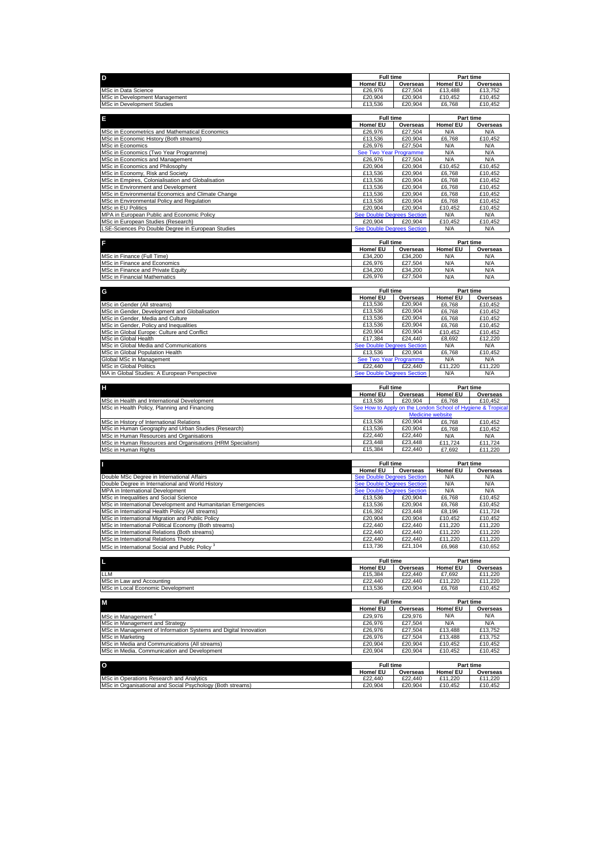| D                                                                                                       | <b>Full time</b>                             |                    | Part time                                                             |                    |
|---------------------------------------------------------------------------------------------------------|----------------------------------------------|--------------------|-----------------------------------------------------------------------|--------------------|
|                                                                                                         | Home/ EU                                     | Overseas           | Home/ EU                                                              | Overseas           |
| MSc in Data Science                                                                                     | £26,976                                      | £27,504            | £13,488                                                               | £13,752            |
| MSc in Development Management                                                                           | £20,904<br>£13,536                           | £20,904            | £10,452                                                               | £10,452            |
| MSc in Development Studies                                                                              |                                              | £20,904            | £6,768                                                                | £10,452            |
| Ε                                                                                                       | Full time                                    |                    | Part time                                                             |                    |
|                                                                                                         | Home/ EU                                     | Overseas           | Home/ EU                                                              | Overseas           |
| MSc in Econometrics and Mathematical Economics                                                          | £26,976                                      | £27,504            | N/A                                                                   | N/A                |
| MSc in Economic History (Both streams)                                                                  | £13,536                                      | £20.904            | £6,768                                                                | £10,452            |
| MSc in Economics                                                                                        | £26,976                                      | £27,504            | N/A                                                                   | N/A                |
| MSc in Economics (Two Year Programme)<br>MSc in Economics and Management                                | See Two Year Programme<br>£26,976            | £27,504            | N/A<br>N/A                                                            | N/A<br>N/A         |
| MSc in Economics and Philosophy                                                                         | £20,904                                      | £20,904            | £10.452                                                               | £10.452            |
| MSc in Economy, Risk and Society                                                                        | £13,536                                      | £20,904            | £6,768                                                                | £10,452            |
| MSc in Empires, Colonialisation and Globalisation                                                       | £13,536                                      | £20,904            | £6,768                                                                | £10,452            |
| MSc in Environment and Development                                                                      | £13,536                                      | £20,904            | £6,768                                                                | £10,452            |
| MSc in Environmental Economics and Climate Change                                                       | £13,536                                      | £20,904            | £6,768                                                                | £10,452            |
| MSc in Environmental Policy and Regulation                                                              | £13,536                                      | £20,904            | £6,768                                                                | £10,452            |
| MSc in EU Politics<br>MPA in European Public and Economic Policy                                        | £20,904                                      | £20,904            | £10,452<br>N/A                                                        | £10,452<br>N/A     |
| MSc in European Studies (Research)                                                                      | <b>See Double Degrees Section</b><br>£20,904 | £20,904            | £10,452                                                               | £10,452            |
| LSE-Sciences Po Double Degree in European Studies                                                       | <b>See Double Degrees Section</b>            |                    | N/A                                                                   | N/A                |
|                                                                                                         |                                              |                    |                                                                       |                    |
| F                                                                                                       | <b>Full time</b>                             |                    |                                                                       | Part time          |
|                                                                                                         | Home/ EU                                     | Overseas           | Home/ EU                                                              | Overseas           |
| MSc in Finance (Full Time)                                                                              | £34,200                                      | £34,200            | N/A                                                                   | N/A                |
| MSc in Finance and Economics                                                                            | £26,976                                      | £27,504            | N/A                                                                   | N/A                |
| MSc in Finance and Private Equity<br>MSc in Financial Mathematics                                       | £34,200<br>£26,976                           | £34,200<br>£27,504 | N/A<br>N/A                                                            | N/A<br>N/A         |
|                                                                                                         |                                              |                    |                                                                       |                    |
| G                                                                                                       | <b>Full time</b>                             |                    | Part time                                                             |                    |
|                                                                                                         | Home/ EU                                     | Overseas           | Home/ EU                                                              | Overseas           |
| MSc in Gender (All streams)                                                                             | £13,536                                      | £20,904            | £6,768                                                                | £10,452            |
| MSc in Gender, Development and Globalisation                                                            | £13,536                                      | £20,904            | £6,768                                                                | £10.452            |
| MSc in Gender, Media and Culture                                                                        | £13,536                                      | £20,904            | £6,768                                                                | £10,452            |
| MSc in Gender, Policy and Inequalities                                                                  | £13,536                                      | £20,904            | £6,768                                                                | £10,452            |
| MSc in Global Europe: Culture and Conflict<br>MSc in Global Health                                      | £20,904<br>£17,384                           | £20,904<br>£24,440 | £10,452<br>£8,692                                                     | £10.452<br>£12,220 |
| MSc in Global Media and Communications                                                                  | ee Double Degrees Section                    |                    | N/A                                                                   | N/A                |
| MSc in Global Population Health                                                                         | £13,536                                      | £20,904            | £6,768                                                                | £10,452            |
| Global MSc in Management                                                                                | See Two Year Programme                       |                    | N/A                                                                   | N/A                |
| <b>MSc in Global Politics</b>                                                                           | £22,440                                      | £22,440            | £11,220                                                               | £11,220            |
| MA in Global Studies: A European Perspective                                                            | See Double Degrees Section                   |                    | N/A                                                                   | N/A                |
|                                                                                                         |                                              |                    |                                                                       |                    |
|                                                                                                         |                                              |                    |                                                                       |                    |
| н                                                                                                       | <b>Full time</b>                             |                    |                                                                       | Part time          |
|                                                                                                         | Home/ EU                                     | Overseas           | Home/ EU                                                              | Overseas           |
| MSc in Health and International Development<br>MSc in Health Policy, Planning and Financing             | £13,536                                      | £20,904            | £6,768<br>See How to Apply on the London School of Hygiene & Tropical | £10,452            |
|                                                                                                         |                                              |                    | Medicine website                                                      |                    |
| MSc in History of International Relations                                                               | £13,536                                      | £20,904            | £6,768                                                                | £10.452            |
| MSc in Human Geography and Urban Studies (Research)                                                     | £13,536                                      | £20,904            | £6,768                                                                | £10,452            |
| MSc in Human Resources and Organisations                                                                | £22,440                                      | £22,440            | N/A                                                                   | N/A                |
| MSc in Human Resources and Organisations (HRM Specialism)                                               | £23,448                                      | £23,448            | £11,724                                                               | £11,724            |
| MSc in Human Rights                                                                                     | £15,384                                      | £22,440            | £7,692                                                                | £11,220            |
|                                                                                                         | <b>Full time</b>                             |                    | Part time                                                             |                    |
|                                                                                                         | Home/ EU                                     | Overseas           | Home/ EU                                                              | Overseas           |
| Double MSc Degree in International Affairs                                                              | <b>See Double Degrees Section</b>            |                    | N/A                                                                   | N/A                |
| Double Degree in International and World History                                                        | <b>See Double Degrees Section</b>            |                    | N/A                                                                   | N/A                |
| MPA in International Development                                                                        | <b>See Double Degrees Section</b>            |                    | N/A<br>£6,768                                                         | N/A                |
| MSc in Inequalities and Social Science<br>MSc in International Development and Humanitarian Emergencies | £13,536<br>£13,536                           | £20,904<br>£20,904 | £6,768                                                                | £10,452<br>£10,452 |
| MSc in International Health Policy (All streams)                                                        | £16,392                                      | £23,448            | £8,196                                                                | £11,724            |
| MSc in International Migration and Public Policy                                                        | £20,904                                      | £20.904            | £10.452                                                               | £10,452            |
| MSc in International Political Economy (Both streams)                                                   | £22,440                                      | £22,440            | £11,220                                                               | £11,220            |
| MSc in International Relations (Both streams)                                                           | £22,440                                      | £22,440            | £11,220                                                               | £11,220            |
| MSc in International Relations Theory                                                                   | £22,440                                      | £22,440            | £11,220                                                               | £11,220            |
| MSc in International Social and Public Policy <sup>3</sup>                                              | £13,736                                      | £21,104            | £6,968                                                                | £10,652            |
|                                                                                                         | <b>Full time</b>                             |                    | Part time                                                             |                    |
| Ш                                                                                                       | Home/ EU                                     | Overseas           | Home/ EU                                                              | Overseas           |
| <b>LLM</b>                                                                                              | £15,384                                      | £22,440            | £7,692                                                                | £11,220            |
| MSc in Law and Accounting                                                                               | £22,440                                      | £22,440            | £11,220                                                               | £11,220            |
| MSc in Local Economic Development                                                                       | £13,536                                      | £20,904            | £6,768                                                                | £10,452            |
|                                                                                                         | <b>Full time</b>                             |                    |                                                                       |                    |
| М                                                                                                       | Home/ EU                                     | Overseas           | Part time<br>Home/ EU                                                 | Overseas           |
| MSc in Management <sup>4</sup>                                                                          | £29,976                                      | £29,976            | N/A                                                                   | N/A                |
| MSc in Management and Strategy                                                                          | £26,976                                      | £27,504            | N/A                                                                   | N/A                |
| MSc in Management of Information Systems and Digital Innovation                                         | £26,976                                      | £27,504            | £13,488                                                               | £13,752            |
| MSc in Marketing                                                                                        | £26,976                                      | £27,504            | £13.488                                                               | £13.752            |
| MSc in Media and Communications (All streams)                                                           | £20,904                                      | £20,904            | £10,452                                                               | £10,452            |
| MSc in Media, Communication and Development                                                             | £20,904                                      | £20,904            | £10,452                                                               | £10,452            |
|                                                                                                         | <b>Full time</b>                             |                    |                                                                       | Part time          |
| O                                                                                                       | Home/ EU                                     | Overseas           | Home/ EU                                                              | Overseas           |
| MSc in Operations Research and Analytics<br>MSc in Organisational and Social Psychology (Both streams)  | £22,440<br>£20,904                           | £22,440<br>£20,904 | £11,220<br>£10,452                                                    | £11,220<br>£10,452 |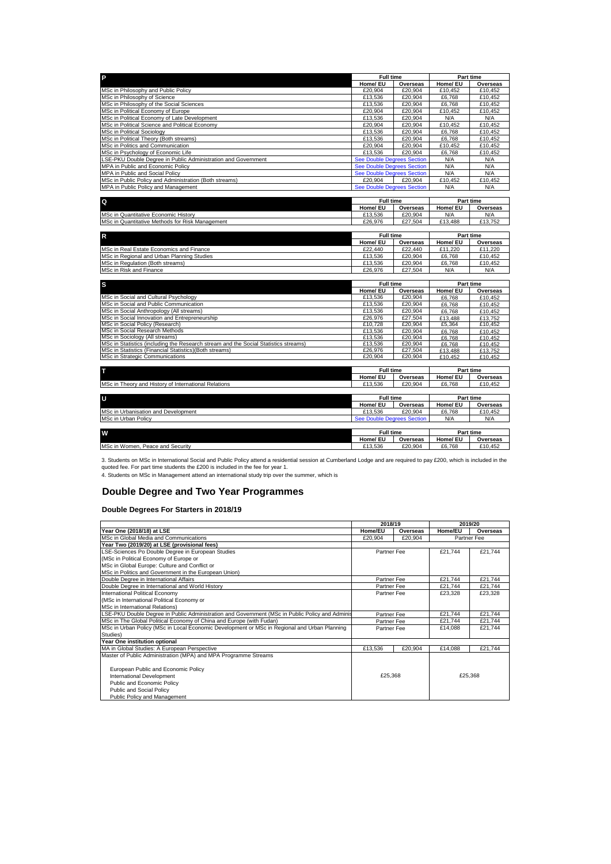| P                                                                                   | <b>Full time</b>                  |          | Part time        |                 |
|-------------------------------------------------------------------------------------|-----------------------------------|----------|------------------|-----------------|
|                                                                                     | Home/ EU                          | Overseas | Home/ EU         | Overseas        |
| MSc in Philosophy and Public Policy                                                 | £20,904                           | £20.904  | £10,452          | £10,452         |
| MSc in Philosophy of Science                                                        | £13,536                           | £20,904  | £6,768           | £10,452         |
| MSc in Philosophy of the Social Sciences                                            | £13,536                           | £20.904  | £6.768           | £10.452         |
| MSc in Political Economy of Europe                                                  | £20,904                           | £20.904  | £10.452          | £10.452         |
| MSc in Political Economy of Late Development                                        | £13,536                           | £20.904  | N/A              | N/A             |
| MSc in Political Science and Political Economy                                      | £20.904                           | £20.904  | £10.452          | £10.452         |
| <b>MSc in Political Sociology</b>                                                   | £13.536                           | £20.904  | £6.768           | £10.452         |
| MSc in Political Theory (Both streams)                                              | £13,536                           | £20,904  | £6.768           | £10,452         |
| MSc in Politics and Communication                                                   | £20,904                           | £20,904  | £10,452          | £10,452         |
| MSc in Psychology of Economic Life                                                  | £13,536                           | £20,904  | £6.768           | £10,452         |
| LSE-PKU Double Degree in Public Administration and Government                       | <b>See Double Degrees Section</b> |          | N/A              | N/A             |
| MPA in Public and Economic Policy                                                   | See Double Degrees Section        |          | N/A              | N/A             |
| MPA in Public and Social Policy                                                     | <b>See Double Degrees Section</b> |          | N/A              | N/A             |
| MSc in Public Policy and Administration (Both streams)                              | £20.904                           | £20.904  | £10.452          | £10.452         |
| MPA in Public Policy and Management                                                 | <b>See Double Degrees Section</b> |          | N/A              | N/A             |
|                                                                                     |                                   |          |                  |                 |
| Q                                                                                   | <b>Full time</b>                  |          | Part time        |                 |
|                                                                                     | Home/ EU                          | Overseas | Home/ EU         | Overseas        |
| MSc in Quantitative Economic History                                                | £13,536                           | £20,904  | N/A              | N/A             |
| MSc in Quantitative Methods for Risk Management                                     | £26,976                           | £27,504  | £13,488          | £13,752         |
|                                                                                     |                                   |          |                  |                 |
| $\mathsf{R}$                                                                        | <b>Full time</b>                  |          |                  | Part time       |
|                                                                                     | Home/ EU                          | Overseas | Home/ EU         | Overseas        |
| MSc in Real Estate Economics and Finance                                            | £22.440                           | £22.440  | £11.220          | £11.220         |
| MSc in Regional and Urban Planning Studies                                          | £13.536                           | £20.904  | £6.768           | £10.452         |
| MSc in Regulation (Both streams)                                                    | £13.536                           | £20.904  | £6.768           | £10.452         |
| MSc in Risk and Finance                                                             | £26,976                           | £27,504  | N/A              | N/A             |
|                                                                                     |                                   |          |                  |                 |
| s                                                                                   | <b>Full time</b>                  |          |                  | Part time       |
|                                                                                     | Home/ EU                          | Overseas | Home/ EU         | Overseas        |
| MSc in Social and Cultural Psychology                                               | £13,536                           | £20.904  | £6.768           | £10,452         |
| MSc in Social and Public Communication                                              | £13,536                           | £20.904  | £6.768           | £10,452         |
| MSc in Social Anthropology (All streams)                                            | £13,536                           | £20.904  | £6.768           | £10,452         |
| MSc in Social Innovation and Entrepreneurship                                       | £26.976                           | £27,504  | £13.488          | £13,752         |
| MSc in Social Policy (Research)                                                     | £10,728                           | £20.904  | £5,364           | £10,452         |
| MSc in Social Research Methods                                                      | £13,536                           | £20.904  | £6.768           | £10.452         |
| MSc in Sociology (All streams)                                                      | £13,536                           | £20,904  | £6.768           | £10.452         |
| MSc in Statistics (including the Research stream and the Social Statistics streams) | £13,536                           | £20,904  | £6,768           | £10,452         |
| MSc in Statistics (Financial Statistics)(Both streams)                              | £26,976                           | £27.504  | £13.488          | £13.752         |
| MSc in Strategic Communications                                                     | £20.904                           | £20,904  | £10.452          | £10.452         |
|                                                                                     |                                   |          |                  |                 |
| т                                                                                   | <b>Full time</b>                  |          | <b>Part time</b> |                 |
|                                                                                     | Home/ EU                          | Overseas | Home/ EU         | <b>Overseas</b> |
| MSc in Theory and History of International Relations                                | £13,536                           | £20.904  | £6,768           | £10.452         |
|                                                                                     |                                   |          |                  |                 |
| U                                                                                   | <b>Full time</b>                  |          | Part time        |                 |
|                                                                                     | Home/ EU                          | Overseas | Home/ EU         | Overseas        |
| MSc in Urbanisation and Development                                                 | £13,536                           | £20,904  | £6,768           | £10,452         |
| MSc in Urban Policy                                                                 | <b>See Double Degrees Section</b> |          | N/A              | N/A             |
|                                                                                     |                                   |          |                  |                 |
| W                                                                                   | <b>Full time</b>                  |          |                  | Part time       |
|                                                                                     | Home/ EU                          | Overseas | Home/ EU         | Overseas        |
| MSc in Women, Peace and Security                                                    | £13,536                           | £20.904  | £6,768           | £10.452         |

3. Students on MSc in International Social and Public Policy attend a residential session at Cumberland Lodge and are required to pay £200, which is included in the<br>quoted fee. For part time students the £200 is included i

4. Students on MSc in Management attend an international study trip over the summer, which is

# <span id="page-2-0"></span>**Double Degree and Two Year Programmes**

## **Double Degrees For Starters in 2018/19**

|                                                                                                 | 2018/19             |         |         | 2019/20     |
|-------------------------------------------------------------------------------------------------|---------------------|---------|---------|-------------|
| Year One (2018/18) at LSE                                                                       | Home/EU<br>Overseas |         | Home/EU | Overseas    |
| MSc in Global Media and Communications                                                          | £20.904<br>£20,904  |         |         | Partner Fee |
| Year Two (2019/20) at LSE (provisional fees)                                                    |                     |         |         |             |
| LSE-Sciences Po Double Degree in European Studies                                               | Partner Fee         |         | £21.744 | £21,744     |
| (MSc in Political Economy of Europe or                                                          |                     |         |         |             |
| MSc in Global Europe: Culture and Conflict or                                                   |                     |         |         |             |
| MSc in Politics and Government in the European Union)                                           |                     |         |         |             |
| Double Degree in International Affairs                                                          | Partner Fee         |         | £21.744 | £21.744     |
| Double Degree in International and World History                                                | Partner Fee         |         | £21,744 | £21,744     |
| International Political Economy                                                                 | Partner Fee         |         | £23,328 | £23,328     |
| (MSc in International Political Economy or                                                      |                     |         |         |             |
| MSc in International Relations)                                                                 |                     |         |         |             |
| LSE-PKU Double Degree in Public Administration and Government (MSc in Public Policy and Adminis | Partner Fee         |         | £21.744 | £21.744     |
| MSc in The Global Political Economy of China and Europe (with Fudan)                            | Partner Fee         |         | £21.744 | £21,744     |
| MSc in Urban Policy (MSc in Local Economic Development or MSc in Regional and Urban Planning    | Partner Fee         |         | £14,088 | £21,744     |
| Studies)                                                                                        |                     |         |         |             |
| Year One institution optional                                                                   |                     |         |         |             |
| MA in Global Studies: A European Perspective                                                    | £13,536             | £20.904 | £14,088 | £21,744     |
| Master of Public Administration (MPA) and MPA Programme Streams                                 |                     |         |         |             |
|                                                                                                 |                     |         |         |             |
| European Public and Economic Policy                                                             |                     |         |         |             |
| International Development                                                                       | £25,368             |         |         | £25,368     |
| Public and Economic Policy                                                                      |                     |         |         |             |
| Public and Social Policy                                                                        |                     |         |         |             |
| Public Policy and Management                                                                    |                     |         |         |             |